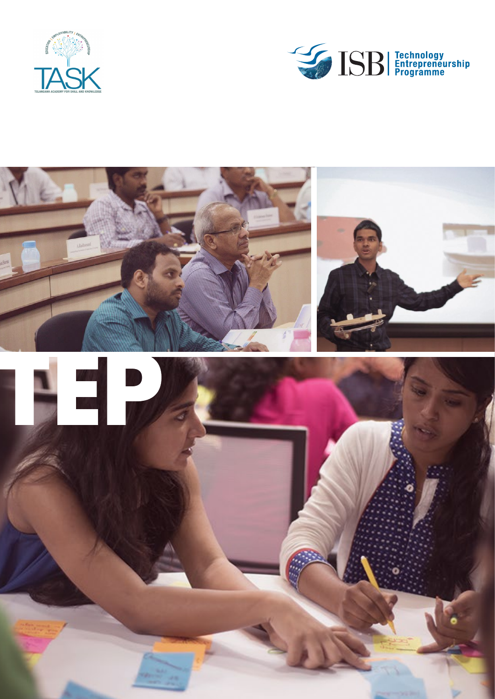



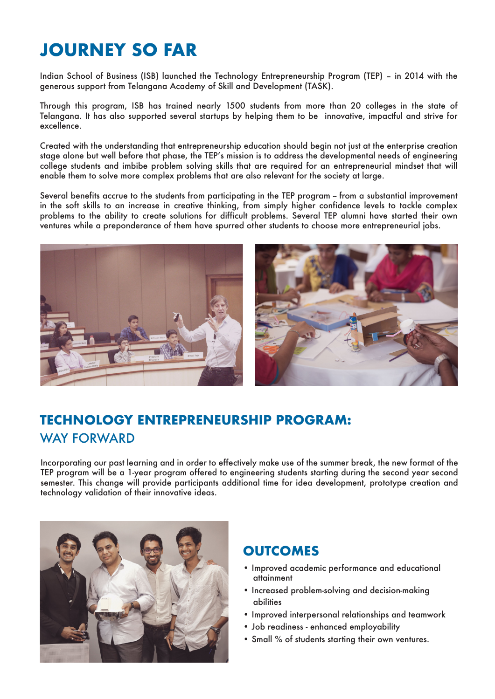# **JOURNEY SO FAR**

Indian School of Business (ISB) launched the Technology Entrepreneurship Program (TEP) – in 2014 with the generous support from Telangana Academy of Skill and Development (TASK).

Through this program, ISB has trained nearly 1500 students from more than 20 colleges in the state of Telangana. It has also supported several startups by helping them to be innovative, impactful and strive for excellence.

Created with the understanding that entrepreneurship education should begin not just at the enterprise creation stage alone but well before that phase, the TEP's mission is to address the developmental needs of engineering college students and imbibe problem solving skills that are required for an entrepreneurial mindset that will enable them to solve more complex problems that are also relevant for the society at large.

Several benefits accrue to the students from participating in the TEP program – from a substantial improvement in the soft skills to an increase in creative thinking, from simply higher confidence levels to tackle complex problems to the ability to create solutions for difficult problems. Several TEP alumni have started their own ventures while a preponderance of them have spurred other students to choose more entrepreneurial jobs.



# **TECHNOLOGY ENTREPRENEURSHIP PROGRAM:** WAY FORWARD

Incorporating our past learning and in order to effectively make use of the summer break, the new format of the TEP program will be a 1-year program offered to engineering students starting during the second year second semester. This change will provide participants additional time for idea development, prototype creation and technology validation of their innovative ideas.



## **OUTCOMES**

- Improved academic performance and educational attainment
- Increased problem-solving and decision-making abilities
- Improved interpersonal relationships and teamwork
- Job readiness enhanced employability
- Small % of students starting their own ventures.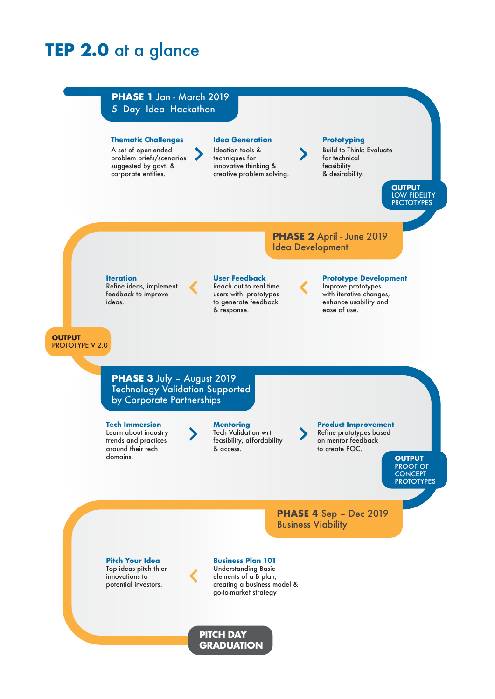# **TEP 2.0** at a glance

### **PHASE 1** Jan - March 2019 5 Day Idea Hackathon

### **Thematic Challenges**

A set of open-ended problem briefs/scenarios suggested by govt. & corporate entities.

**Idea Generation**

Ideation tools & techniques for innovative thinking & creative problem solving. **Prototyping** 

Build to Think: Evaluate for technical feasibility & desirability.

> **OUTPUT** LOW FIDELITY **PROTOTYPES**

**PHASE 2** April - June 2019 Idea Development

#### **Iteration** Refine ideas, implement feedback to improve ideas.

#### **User Feedback**

Reach out to real time users with prototypes to generate feedback & response.

### **Prototype Development**

Improve prototypes with iterative changes, enhance usability and ease of use.

#### **OUTPUT** PROTOTYPE V 2.0

**PHASE 3** July – August 2019 Technology Validation Supported by Corporate Partnerships

**Tech Immersion** Learn about industry trends and practices around their tech domains.

#### **Mentoring** Tech Validation wrt feasibility, affordability

& access.

**Product Improvement** Refine prototypes based

on mentor feedback to create POC.

**OUTPUT** PROOF OF **CONCEPT PROTOTYPES** 

**PHASE 4** Sep – Dec 2019 Business Viability

**Pitch Your Idea** Top ideas pitch thier innovations to potential investors.

**Business Plan 101** Understanding Basic elements of a B plan, creating a business model & go-to-market strategy

**PITCH DAY GRADUATION**